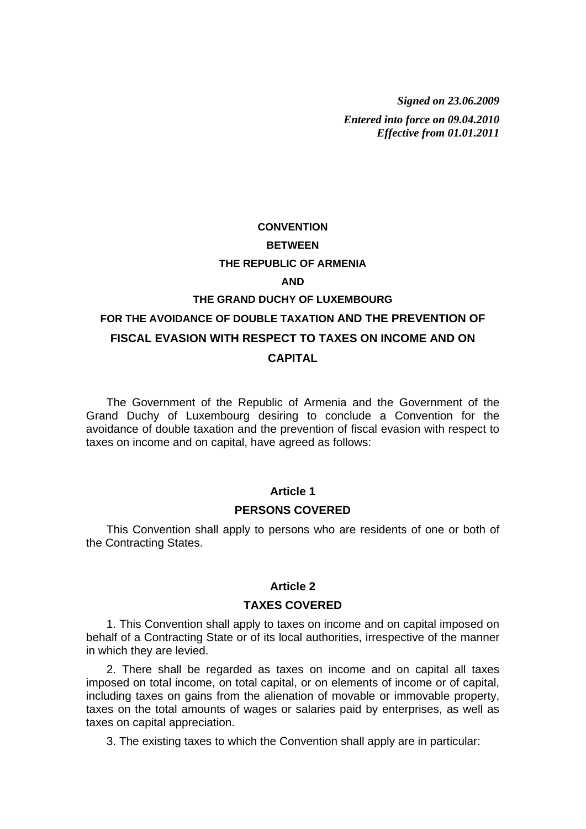*Signed on 23.06.2009*

*Entered into force on 09.04.2010 Effective from 01.01.2011*

# **CONVENTION BETWEEN THE REPUBLIC OF ARMENIA**

# **AND**

# **THE GRAND DUCHY OF LUXEMBOURG**

# **FOR THE AVOIDANCE OF DOUBLE TAXATION AND THE PREVENTION OF FISCAL EVASION WITH RESPECT TO TAXES ON INCOME AND ON CAPITAL**

The Government of the Republic of Armenia and the Government of the Grand Duchy of Luxembourg desiring to conclude a Convention for the avoidance of double taxation and the prevention of fiscal evasion with respect to taxes on income and on capital, have agreed as follows:

# **Article 1**

# **PERSONS COVERED**

This Convention shall apply to persons who are residents of one or both of the Contracting States.

# **Article 2**

# **TAXES COVERED**

1. This Convention shall apply to taxes on income and on capital imposed on behalf of a Contracting State or of its local authorities, irrespective of the manner in which they are levied.

2. There shall be regarded as taxes on income and on capital all taxes imposed on total income, on total capital, or on elements of income or of capital, including taxes on gains from the alienation of movable or immovable property, taxes on the total amounts of wages or salaries paid by enterprises, as well as taxes on capital appreciation.

3. The existing taxes to which the Convention shall apply are in particular: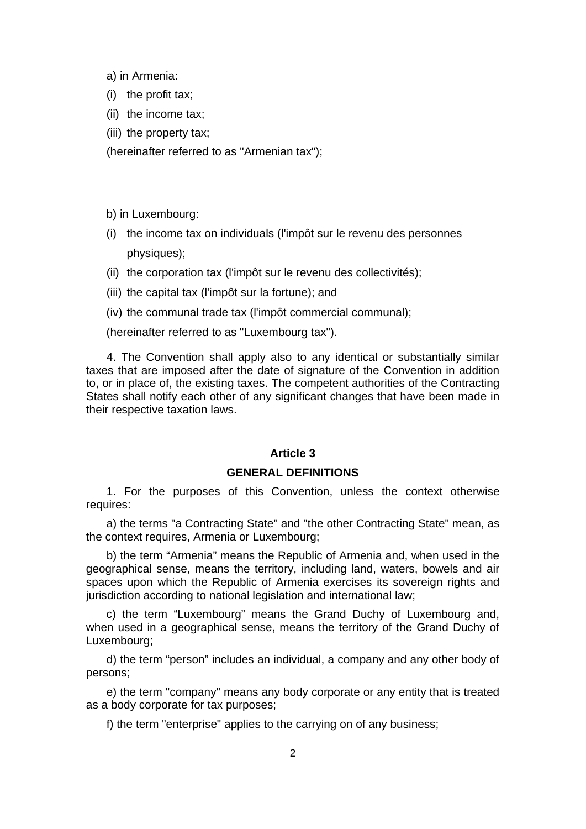a) in Armenia:

- (i) the profit tax;
- (ii) the income tax;
- (iii) the property tax;

(hereinafter referred to as "Armenian tax");

b) in Luxembourg:

- (i) the income tax on individuals (l'impôt sur le revenu des personnes physiques);
- (ii) the corporation tax (l'impôt sur le revenu des collectivités);
- (iii) the capital tax (l'impôt sur la fortune); and
- (iv) the communal trade tax (l'impôt commercial communal);

(hereinafter referred to as "Luxembourg tax").

4. The Convention shall apply also to any identical or substantially similar taxes that are imposed after the date of signature of the Convention in addition to, or in place of, the existing taxes. The competent authorities of the Contracting States shall notify each other of any significant changes that have been made in their respective taxation laws.

# **Article 3**

# **GENERAL DEFINITIONS**

1. For the purposes of this Convention, unless the context otherwise requires:

a) the terms "a Contracting State" and "the other Contracting State" mean, as the context requires, Armenia or Luxembourg;

b) the term "Armenia" means the Republic of Armenia and, when used in the geographical sense, means the territory, including land, waters, bowels and air spaces upon which the Republic of Armenia exercises its sovereign rights and jurisdiction according to national legislation and international law;

c) the term "Luxembourg" means the Grand Duchy of Luxembourg and, when used in a geographical sense, means the territory of the Grand Duchy of Luxembourg;

d) the term "person" includes an individual, a company and any other body of persons;

e) the term "company" means any body corporate or any entity that is treated as a body corporate for tax purposes;

f) the term "enterprise" applies to the carrying on of any business;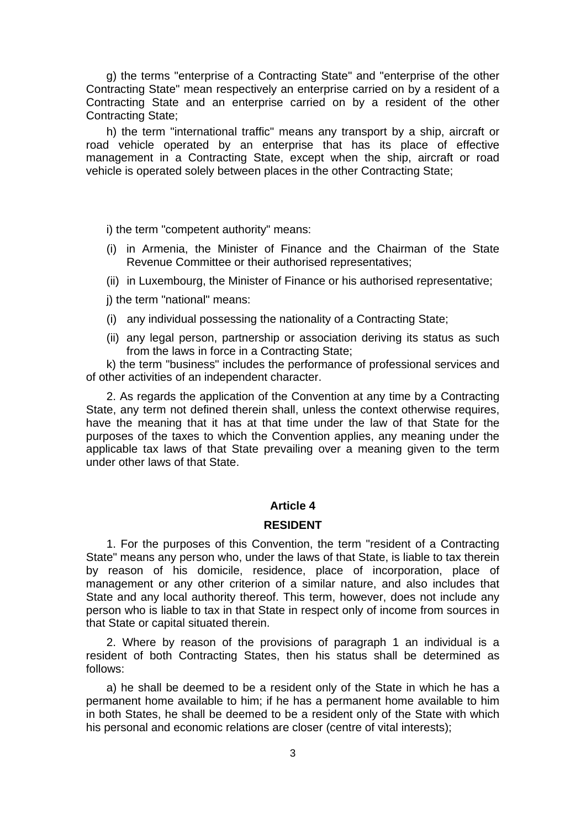g) the terms "enterprise of a Contracting State" and "enterprise of the other Contracting State" mean respectively an enterprise carried on by a resident of a Contracting State and an enterprise carried on by a resident of the other Contracting State;

h) the term "international traffic" means any transport by a ship, aircraft or road vehicle operated by an enterprise that has its place of effective management in a Contracting State, except when the ship, aircraft or road vehicle is operated solely between places in the other Contracting State;

i) the term "competent authority" means:

- (i) in Armenia, the Minister of Finance and the Chairman of the State Revenue Committee or their authorised representatives;
- (ii) in Luxembourg, the Minister of Finance or his authorised representative;

j) the term "national" means:

- (i) any individual possessing the nationality of a Contracting State;
- (ii) any legal person, partnership or association deriving its status as such from the laws in force in a Contracting State;

k) the term "business" includes the performance of professional services and of other activities of an independent character.

2. As regards the application of the Convention at any time by a Contracting State, any term not defined therein shall, unless the context otherwise requires, have the meaning that it has at that time under the law of that State for the purposes of the taxes to which the Convention applies, any meaning under the applicable tax laws of that State prevailing over a meaning given to the term under other laws of that State.

#### **Article 4**

# **RESIDENT**

1. For the purposes of this Convention, the term "resident of a Contracting State" means any person who, under the laws of that State, is liable to tax therein by reason of his domicile, residence, place of incorporation, place of management or any other criterion of a similar nature, and also includes that State and any local authority thereof. This term, however, does not include any person who is liable to tax in that State in respect only of income from sources in that State or capital situated therein.

2. Where by reason of the provisions of paragraph 1 an individual is a resident of both Contracting States, then his status shall be determined as follows:

a) he shall be deemed to be a resident only of the State in which he has a permanent home available to him; if he has a permanent home available to him in both States, he shall be deemed to be a resident only of the State with which his personal and economic relations are closer (centre of vital interests);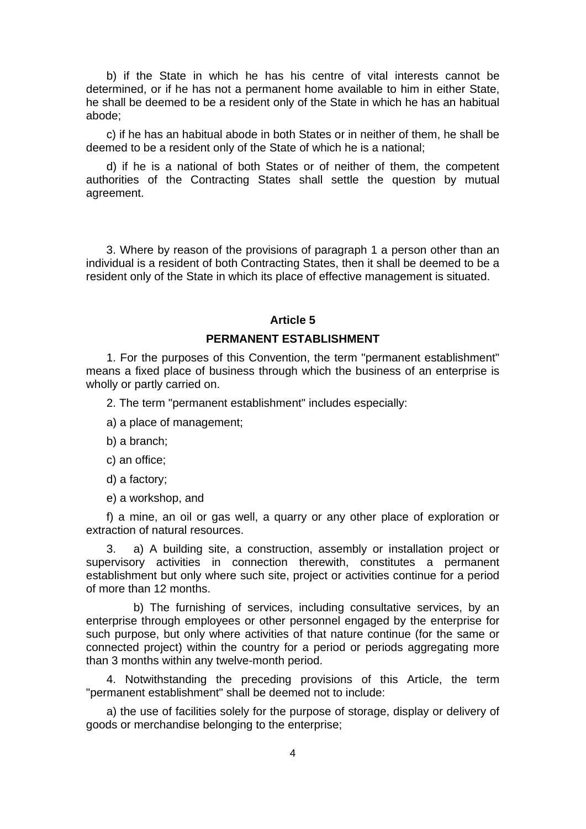b) if the State in which he has his centre of vital interests cannot be determined, or if he has not a permanent home available to him in either State, he shall be deemed to be a resident only of the State in which he has an habitual abode;

c) if he has an habitual abode in both States or in neither of them, he shall be deemed to be a resident only of the State of which he is a national;

d) if he is a national of both States or of neither of them, the competent authorities of the Contracting States shall settle the question by mutual agreement.

3. Where by reason of the provisions of paragraph 1 a person other than an individual is a resident of both Contracting States, then it shall be deemed to be a resident only of the State in which its place of effective management is situated.

# **Article 5**

# **PERMANENT ESTABLISHMENT**

1. For the purposes of this Convention, the term "permanent establishment" means a fixed place of business through which the business of an enterprise is wholly or partly carried on.

2. The term "permanent establishment" includes especially:

- a) a place of management;
- b) a branch;
- c) an office;
- d) a factory;
- e) a workshop, and

f) a mine, an oil or gas well, a quarry or any other place of exploration or extraction of natural resources.

3. a) A building site, a construction, assembly or installation project or supervisory activities in connection therewith, constitutes a permanent establishment but only where such site, project or activities continue for a period of more than 12 months.

 b) The furnishing of services, including consultative services, by an enterprise through employees or other personnel engaged by the enterprise for such purpose, but only where activities of that nature continue (for the same or connected project) within the country for a period or periods aggregating more than 3 months within any twelve-month period.

4. Notwithstanding the preceding provisions of this Article, the term "permanent establishment" shall be deemed not to include:

a) the use of facilities solely for the purpose of storage, display or delivery of goods or merchandise belonging to the enterprise;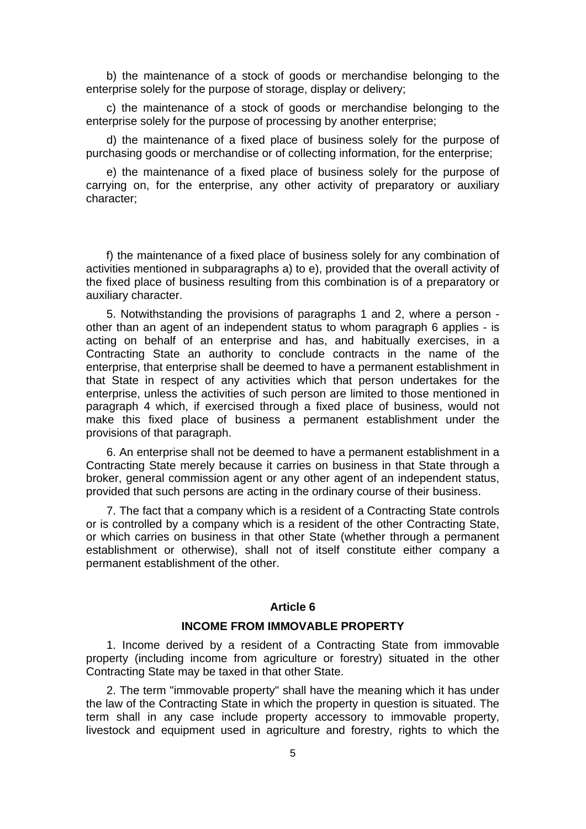b) the maintenance of a stock of goods or merchandise belonging to the enterprise solely for the purpose of storage, display or delivery;

c) the maintenance of a stock of goods or merchandise belonging to the enterprise solely for the purpose of processing by another enterprise;

d) the maintenance of a fixed place of business solely for the purpose of purchasing goods or merchandise or of collecting information, for the enterprise;

e) the maintenance of a fixed place of business solely for the purpose of carrying on, for the enterprise, any other activity of preparatory or auxiliary character;

f) the maintenance of a fixed place of business solely for any combination of activities mentioned in subparagraphs a) to e), provided that the overall activity of the fixed place of business resulting from this combination is of a preparatory or auxiliary character.

5. Notwithstanding the provisions of paragraphs 1 and 2, where a person other than an agent of an independent status to whom paragraph 6 applies - is acting on behalf of an enterprise and has, and habitually exercises, in a Contracting State an authority to conclude contracts in the name of the enterprise, that enterprise shall be deemed to have a permanent establishment in that State in respect of any activities which that person undertakes for the enterprise, unless the activities of such person are limited to those mentioned in paragraph 4 which, if exercised through a fixed place of business, would not make this fixed place of business a permanent establishment under the provisions of that paragraph.

6. An enterprise shall not be deemed to have a permanent establishment in a Contracting State merely because it carries on business in that State through a broker, general commission agent or any other agent of an independent status, provided that such persons are acting in the ordinary course of their business.

7. The fact that a company which is a resident of a Contracting State controls or is controlled by a company which is a resident of the other Contracting State, or which carries on business in that other State (whether through a permanent establishment or otherwise), shall not of itself constitute either company a permanent establishment of the other.

#### **Article 6**

# **INCOME FROM IMMOVABLE PROPERTY**

1. Income derived by a resident of a Contracting State from immovable property (including income from agriculture or forestry) situated in the other Contracting State may be taxed in that other State.

2. The term "immovable property" shall have the meaning which it has under the law of the Contracting State in which the property in question is situated. The term shall in any case include property accessory to immovable property, livestock and equipment used in agriculture and forestry, rights to which the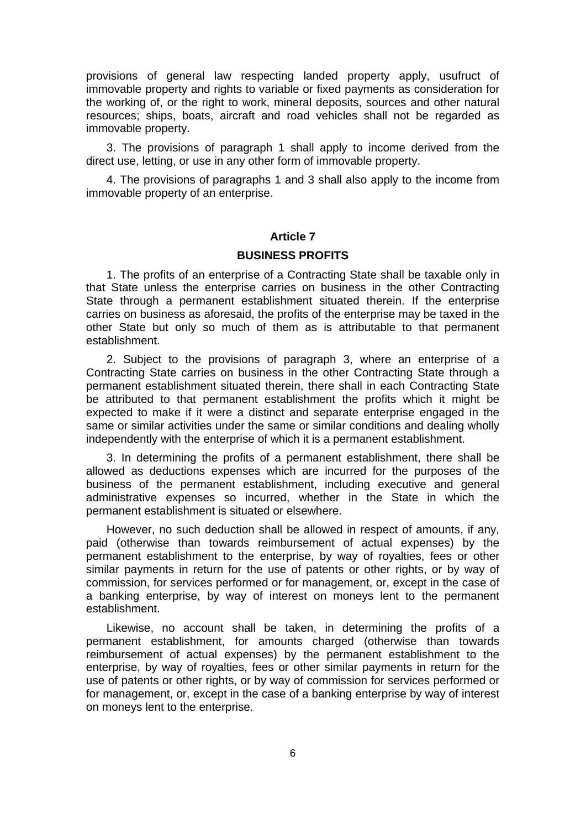provisions of general law respecting landed property apply, usufruct of immovable property and rights to variable or fixed payments as consideration for the working of, or the right to work, mineral deposits, sources and other natural resources; ships, boats, aircraft and road vehicles shall not be regarded as immovable property.

3. The provisions of paragraph 1 shall apply to income derived from the direct use, letting, or use in any other form of immovable property.

4. The provisions of paragraphs 1 and 3 shall also apply to the income from immovable property of an enterprise.

# **Article 7**

# **BUSINESS PROFITS**

1. The profits of an enterprise of a Contracting State shall be taxable only in that State unless the enterprise carries on business in the other Contracting State through a permanent establishment situated therein. If the enterprise carries on business as aforesaid, the profits of the enterprise may be taxed in the other State but only so much of them as is attributable to that permanent establishment.

2. Subject to the provisions of paragraph 3, where an enterprise of a Contracting State carries on business in the other Contracting State through a permanent establishment situated therein, there shall in each Contracting State be attributed to that permanent establishment the profits which it might be expected to make if it were a distinct and separate enterprise engaged in the same or similar activities under the same or similar conditions and dealing wholly independently with the enterprise of which it is a permanent establishment.

3. In determining the profits of a permanent establishment, there shall be allowed as deductions expenses which are incurred for the purposes of the business of the permanent establishment, including executive and general administrative expenses so incurred, whether in the State in which the permanent establishment is situated or elsewhere.

However, no such deduction shall be allowed in respect of amounts, if any, paid (otherwise than towards reimbursement of actual expenses) by the permanent establishment to the enterprise, by way of royalties, fees or other similar payments in return for the use of patents or other rights, or by way of commission, for services performed or for management, or, except in the case of a banking enterprise, by way of interest on moneys lent to the permanent establishment.

Likewise, no account shall be taken, in determining the profits of a permanent establishment, for amounts charged (otherwise than towards reimbursement of actual expenses) by the permanent establishment to the enterprise, by way of royalties, fees or other similar payments in return for the use of patents or other rights, or by way of commission for services performed or for management, or, except in the case of a banking enterprise by way of interest on moneys lent to the enterprise.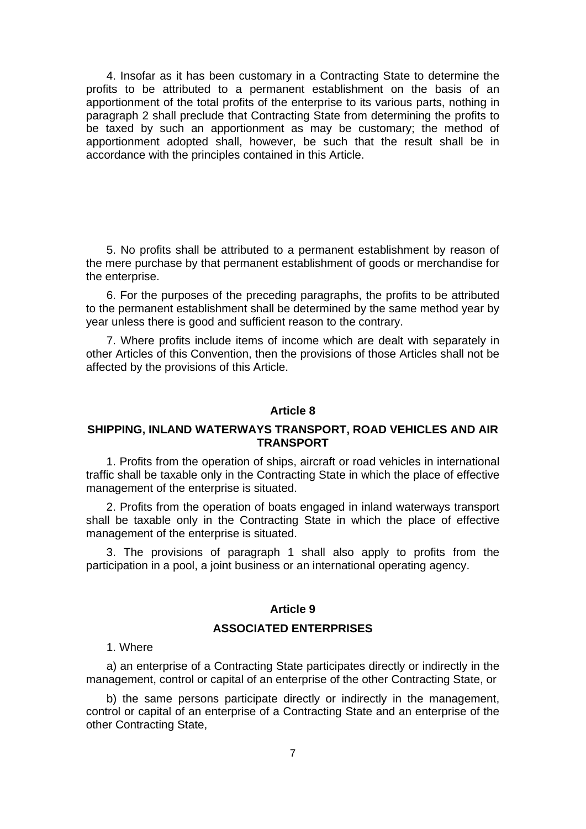4. Insofar as it has been customary in a Contracting State to determine the profits to be attributed to a permanent establishment on the basis of an apportionment of the total profits of the enterprise to its various parts, nothing in paragraph 2 shall preclude that Contracting State from determining the profits to be taxed by such an apportionment as may be customary; the method of apportionment adopted shall, however, be such that the result shall be in accordance with the principles contained in this Article.

5. No profits shall be attributed to a permanent establishment by reason of the mere purchase by that permanent establishment of goods or merchandise for the enterprise.

6. For the purposes of the preceding paragraphs, the profits to be attributed to the permanent establishment shall be determined by the same method year by year unless there is good and sufficient reason to the contrary.

7. Where profits include items of income which are dealt with separately in other Articles of this Convention, then the provisions of those Articles shall not be affected by the provisions of this Article.

### **Article 8**

# **SHIPPING, INLAND WATERWAYS TRANSPORT, ROAD VEHICLES AND AIR TRANSPORT**

1. Profits from the operation of ships, aircraft or road vehicles in international traffic shall be taxable only in the Contracting State in which the place of effective management of the enterprise is situated.

2. Profits from the operation of boats engaged in inland waterways transport shall be taxable only in the Contracting State in which the place of effective management of the enterprise is situated.

3. The provisions of paragraph 1 shall also apply to profits from the participation in a pool, a joint business or an international operating agency.

# **Article 9**

## **ASSOCIATED ENTERPRISES**

#### 1. Where

a) an enterprise of a Contracting State participates directly or indirectly in the management, control or capital of an enterprise of the other Contracting State, or

b) the same persons participate directly or indirectly in the management, control or capital of an enterprise of a Contracting State and an enterprise of the other Contracting State,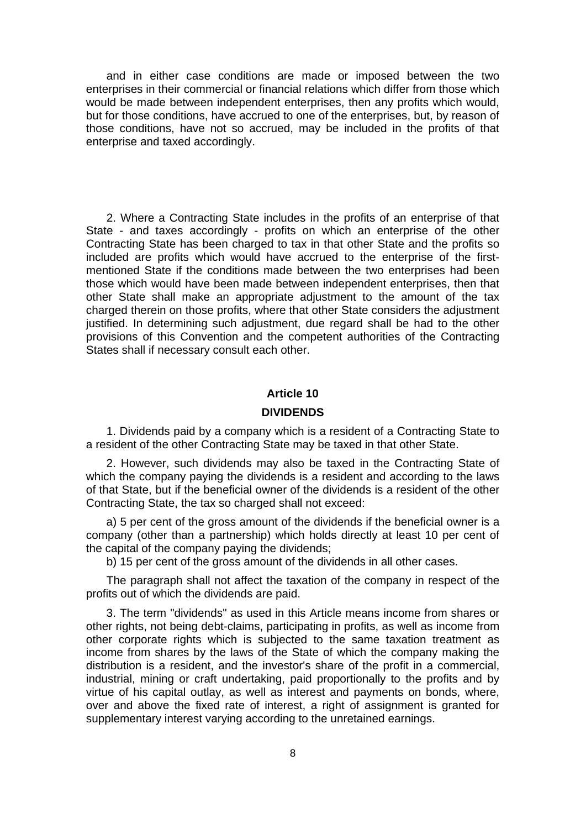and in either case conditions are made or imposed between the two enterprises in their commercial or financial relations which differ from those which would be made between independent enterprises, then any profits which would, but for those conditions, have accrued to one of the enterprises, but, by reason of those conditions, have not so accrued, may be included in the profits of that enterprise and taxed accordingly.

2. Where a Contracting State includes in the profits of an enterprise of that State - and taxes accordingly - profits on which an enterprise of the other Contracting State has been charged to tax in that other State and the profits so included are profits which would have accrued to the enterprise of the firstmentioned State if the conditions made between the two enterprises had been those which would have been made between independent enterprises, then that other State shall make an appropriate adjustment to the amount of the tax charged therein on those profits, where that other State considers the adjustment justified. In determining such adjustment, due regard shall be had to the other provisions of this Convention and the competent authorities of the Contracting States shall if necessary consult each other.

# **Article 10**

#### **DIVIDENDS**

1. Dividends paid by a company which is a resident of a Contracting State to a resident of the other Contracting State may be taxed in that other State.

2. However, such dividends may also be taxed in the Contracting State of which the company paying the dividends is a resident and according to the laws of that State, but if the beneficial owner of the dividends is a resident of the other Contracting State, the tax so charged shall not exceed:

a) 5 per cent of the gross amount of the dividends if the beneficial owner is a company (other than a partnership) which holds directly at least 10 per cent of the capital of the company paying the dividends;

b) 15 per cent of the gross amount of the dividends in all other cases.

The paragraph shall not affect the taxation of the company in respect of the profits out of which the dividends are paid.

3. The term "dividends" as used in this Article means income from shares or other rights, not being debt-claims, participating in profits, as well as income from other corporate rights which is subjected to the same taxation treatment as income from shares by the laws of the State of which the company making the distribution is a resident, and the investor's share of the profit in a commercial, industrial, mining or craft undertaking, paid proportionally to the profits and by virtue of his capital outlay, as well as interest and payments on bonds, where, over and above the fixed rate of interest, a right of assignment is granted for supplementary interest varying according to the unretained earnings.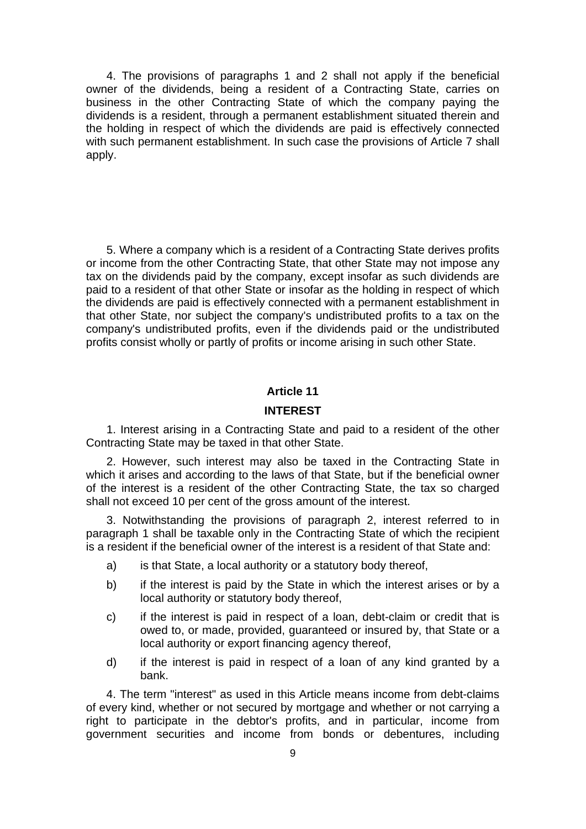4. The provisions of paragraphs 1 and 2 shall not apply if the beneficial owner of the dividends, being a resident of a Contracting State, carries on business in the other Contracting State of which the company paying the dividends is a resident, through a permanent establishment situated therein and the holding in respect of which the dividends are paid is effectively connected with such permanent establishment. In such case the provisions of Article 7 shall apply.

5. Where a company which is a resident of a Contracting State derives profits or income from the other Contracting State, that other State may not impose any tax on the dividends paid by the company, except insofar as such dividends are paid to a resident of that other State or insofar as the holding in respect of which the dividends are paid is effectively connected with a permanent establishment in that other State, nor subject the company's undistributed profits to a tax on the company's undistributed profits, even if the dividends paid or the undistributed profits consist wholly or partly of profits or income arising in such other State.

#### **Article 11**

# **INTEREST**

1. Interest arising in a Contracting State and paid to a resident of the other Contracting State may be taxed in that other State.

2. However, such interest may also be taxed in the Contracting State in which it arises and according to the laws of that State, but if the beneficial owner of the interest is a resident of the other Contracting State, the tax so charged shall not exceed 10 per cent of the gross amount of the interest.

3. Notwithstanding the provisions of paragraph 2, interest referred to in paragraph 1 shall be taxable only in the Contracting State of which the recipient is a resident if the beneficial owner of the interest is a resident of that State and:

- a) is that State, a local authority or a statutory body thereof,
- b) if the interest is paid by the State in which the interest arises or by a local authority or statutory body thereof,
- c) if the interest is paid in respect of a loan, debt-claim or credit that is owed to, or made, provided, guaranteed or insured by, that State or a local authority or export financing agency thereof,
- d) if the interest is paid in respect of a loan of any kind granted by a bank.

4. The term "interest" as used in this Article means income from debt-claims of every kind, whether or not secured by mortgage and whether or not carrying a right to participate in the debtor's profits, and in particular, income from government securities and income from bonds or debentures, including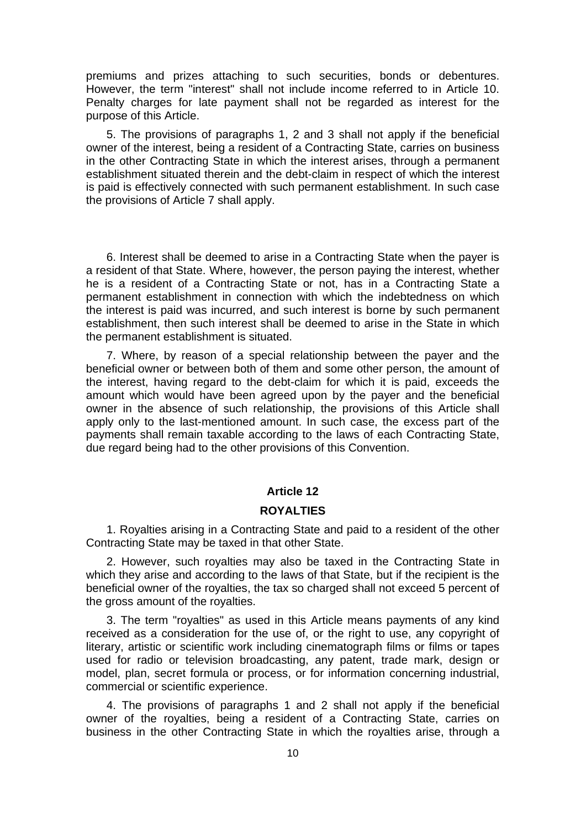premiums and prizes attaching to such securities, bonds or debentures. However, the term "interest" shall not include income referred to in Article 10. Penalty charges for late payment shall not be regarded as interest for the purpose of this Article.

5. The provisions of paragraphs 1, 2 and 3 shall not apply if the beneficial owner of the interest, being a resident of a Contracting State, carries on business in the other Contracting State in which the interest arises, through a permanent establishment situated therein and the debt-claim in respect of which the interest is paid is effectively connected with such permanent establishment. In such case the provisions of Article 7 shall apply.

6. Interest shall be deemed to arise in a Contracting State when the payer is a resident of that State. Where, however, the person paying the interest, whether he is a resident of a Contracting State or not, has in a Contracting State a permanent establishment in connection with which the indebtedness on which the interest is paid was incurred, and such interest is borne by such permanent establishment, then such interest shall be deemed to arise in the State in which the permanent establishment is situated.

7. Where, by reason of a special relationship between the payer and the beneficial owner or between both of them and some other person, the amount of the interest, having regard to the debt-claim for which it is paid, exceeds the amount which would have been agreed upon by the payer and the beneficial owner in the absence of such relationship, the provisions of this Article shall apply only to the last-mentioned amount. In such case, the excess part of the payments shall remain taxable according to the laws of each Contracting State, due regard being had to the other provisions of this Convention.

# **Article 12**

#### **ROYALTIES**

1. Royalties arising in a Contracting State and paid to a resident of the other Contracting State may be taxed in that other State.

2. However, such royalties may also be taxed in the Contracting State in which they arise and according to the laws of that State, but if the recipient is the beneficial owner of the royalties, the tax so charged shall not exceed 5 percent of the gross amount of the royalties.

3. The term "royalties" as used in this Article means payments of any kind received as a consideration for the use of, or the right to use, any copyright of literary, artistic or scientific work including cinematograph films or films or tapes used for radio or television broadcasting, any patent, trade mark, design or model, plan, secret formula or process, or for information concerning industrial, commercial or scientific experience.

4. The provisions of paragraphs 1 and 2 shall not apply if the beneficial owner of the royalties, being a resident of a Contracting State, carries on business in the other Contracting State in which the royalties arise, through a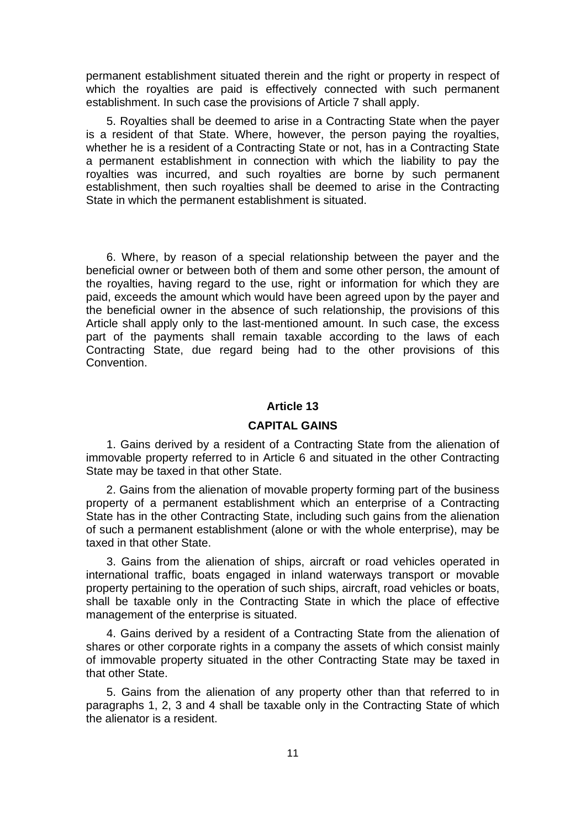permanent establishment situated therein and the right or property in respect of which the royalties are paid is effectively connected with such permanent establishment. In such case the provisions of Article 7 shall apply.

5. Royalties shall be deemed to arise in a Contracting State when the payer is a resident of that State. Where, however, the person paying the royalties, whether he is a resident of a Contracting State or not, has in a Contracting State a permanent establishment in connection with which the liability to pay the royalties was incurred, and such royalties are borne by such permanent establishment, then such royalties shall be deemed to arise in the Contracting State in which the permanent establishment is situated.

6. Where, by reason of a special relationship between the payer and the beneficial owner or between both of them and some other person, the amount of the royalties, having regard to the use, right or information for which they are paid, exceeds the amount which would have been agreed upon by the payer and the beneficial owner in the absence of such relationship, the provisions of this Article shall apply only to the last-mentioned amount. In such case, the excess part of the payments shall remain taxable according to the laws of each Contracting State, due regard being had to the other provisions of this Convention.

# **Article 13**

# **CAPITAL GAINS**

1. Gains derived by a resident of a Contracting State from the alienation of immovable property referred to in Article 6 and situated in the other Contracting State may be taxed in that other State.

2. Gains from the alienation of movable property forming part of the business property of a permanent establishment which an enterprise of a Contracting State has in the other Contracting State, including such gains from the alienation of such a permanent establishment (alone or with the whole enterprise), may be taxed in that other State.

3. Gains from the alienation of ships, aircraft or road vehicles operated in international traffic, boats engaged in inland waterways transport or movable property pertaining to the operation of such ships, aircraft, road vehicles or boats, shall be taxable only in the Contracting State in which the place of effective management of the enterprise is situated.

4. Gains derived by a resident of a Contracting State from the alienation of shares or other corporate rights in a company the assets of which consist mainly of immovable property situated in the other Contracting State may be taxed in that other State.

5. Gains from the alienation of any property other than that referred to in paragraphs 1, 2, 3 and 4 shall be taxable only in the Contracting State of which the alienator is a resident.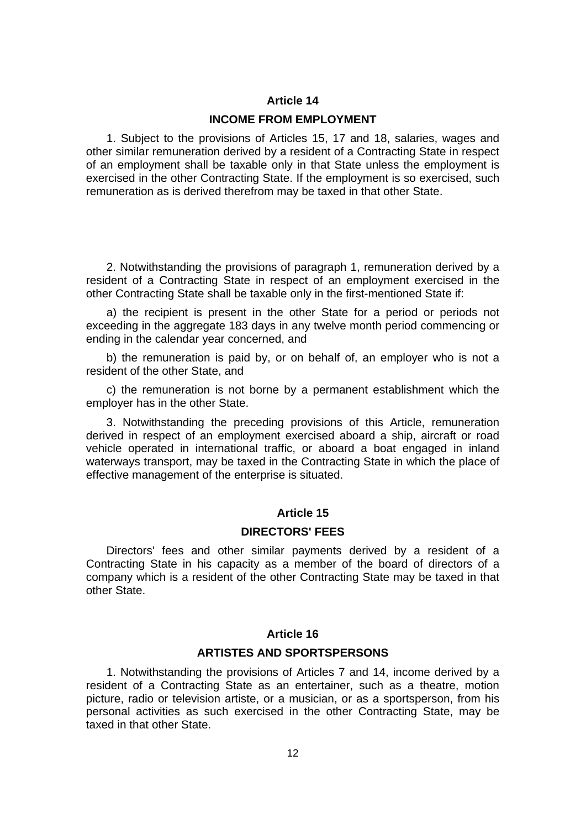#### **Article 14**

#### **INCOME FROM EMPLOYMENT**

1. Subject to the provisions of Articles 15, 17 and 18, salaries, wages and other similar remuneration derived by a resident of a Contracting State in respect of an employment shall be taxable only in that State unless the employment is exercised in the other Contracting State. If the employment is so exercised, such remuneration as is derived therefrom may be taxed in that other State.

2. Notwithstanding the provisions of paragraph 1, remuneration derived by a resident of a Contracting State in respect of an employment exercised in the other Contracting State shall be taxable only in the first-mentioned State if:

a) the recipient is present in the other State for a period or periods not exceeding in the aggregate 183 days in any twelve month period commencing or ending in the calendar year concerned, and

b) the remuneration is paid by, or on behalf of, an employer who is not a resident of the other State, and

c) the remuneration is not borne by a permanent establishment which the employer has in the other State.

3. Notwithstanding the preceding provisions of this Article, remuneration derived in respect of an employment exercised aboard a ship, aircraft or road vehicle operated in international traffic, or aboard a boat engaged in inland waterways transport, may be taxed in the Contracting State in which the place of effective management of the enterprise is situated.

# **Article 15**

# **DIRECTORS' FEES**

Directors' fees and other similar payments derived by a resident of a Contracting State in his capacity as a member of the board of directors of a company which is a resident of the other Contracting State may be taxed in that other State.

# **Article 16**

# **ARTISTES AND SPORTSPERSONS**

1. Notwithstanding the provisions of Articles 7 and 14, income derived by a resident of a Contracting State as an entertainer, such as a theatre, motion picture, radio or television artiste, or a musician, or as a sportsperson, from his personal activities as such exercised in the other Contracting State, may be taxed in that other State.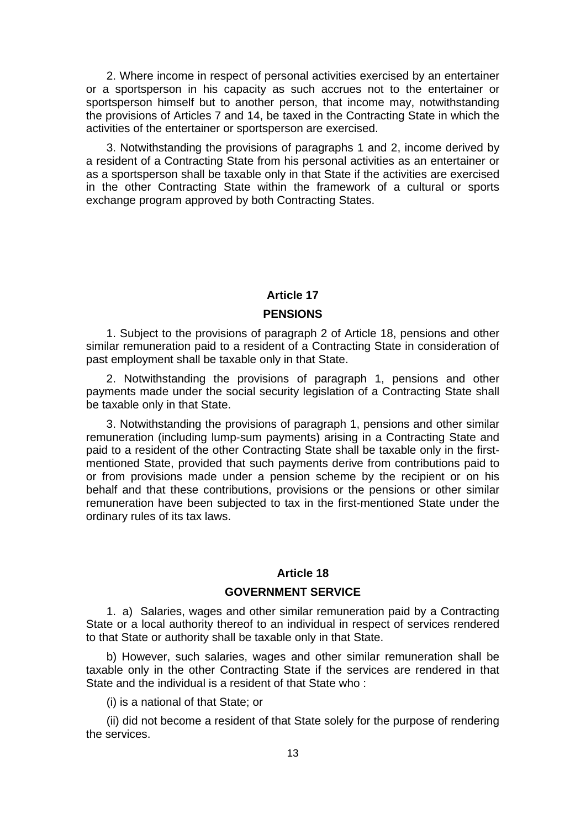2. Where income in respect of personal activities exercised by an entertainer or a sportsperson in his capacity as such accrues not to the entertainer or sportsperson himself but to another person, that income may, notwithstanding the provisions of Articles 7 and 14, be taxed in the Contracting State in which the activities of the entertainer or sportsperson are exercised.

3. Notwithstanding the provisions of paragraphs 1 and 2, income derived by a resident of a Contracting State from his personal activities as an entertainer or as a sportsperson shall be taxable only in that State if the activities are exercised in the other Contracting State within the framework of a cultural or sports exchange program approved by both Contracting States.

# **Article 17 PENSIONS**

1. Subject to the provisions of paragraph 2 of Article 18, pensions and other similar remuneration paid to a resident of a Contracting State in consideration of past employment shall be taxable only in that State.

2. Notwithstanding the provisions of paragraph 1, pensions and other payments made under the social security legislation of a Contracting State shall be taxable only in that State.

3. Notwithstanding the provisions of paragraph 1, pensions and other similar remuneration (including lump-sum payments) arising in a Contracting State and paid to a resident of the other Contracting State shall be taxable only in the firstmentioned State, provided that such payments derive from contributions paid to or from provisions made under a pension scheme by the recipient or on his behalf and that these contributions, provisions or the pensions or other similar remuneration have been subjected to tax in the first-mentioned State under the ordinary rules of its tax laws.

# **Article 18**

# **GOVERNMENT SERVICE**

1. a) Salaries, wages and other similar remuneration paid by a Contracting State or a local authority thereof to an individual in respect of services rendered to that State or authority shall be taxable only in that State.

b) However, such salaries, wages and other similar remuneration shall be taxable only in the other Contracting State if the services are rendered in that State and the individual is a resident of that State who :

(i) is a national of that State; or

(ii) did not become a resident of that State solely for the purpose of rendering the services.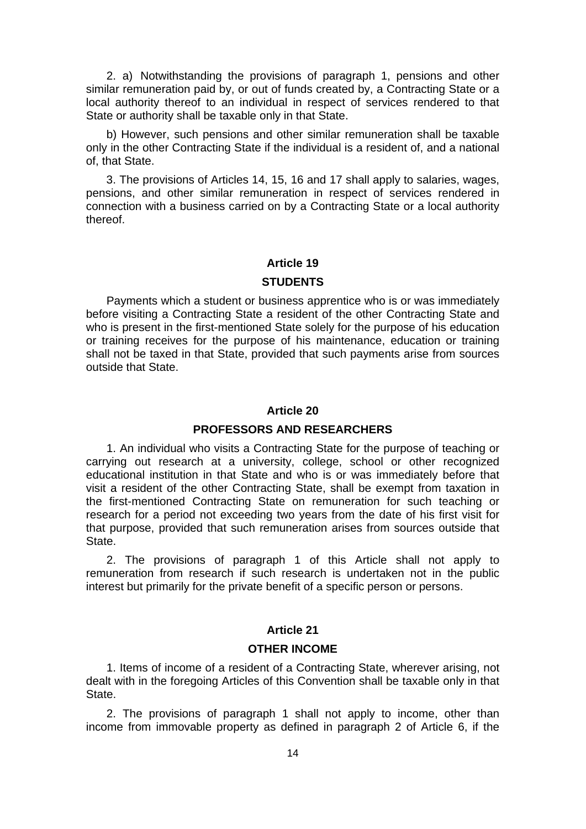2. a) Notwithstanding the provisions of paragraph 1, pensions and other similar remuneration paid by, or out of funds created by, a Contracting State or a local authority thereof to an individual in respect of services rendered to that State or authority shall be taxable only in that State.

b) However, such pensions and other similar remuneration shall be taxable only in the other Contracting State if the individual is a resident of, and a national of, that State.

3. The provisions of Articles 14, 15, 16 and 17 shall apply to salaries, wages, pensions, and other similar remuneration in respect of services rendered in connection with a business carried on by a Contracting State or a local authority thereof.

#### **Article 19**

#### **STUDENTS**

Payments which a student or business apprentice who is or was immediately before visiting a Contracting State a resident of the other Contracting State and who is present in the first-mentioned State solely for the purpose of his education or training receives for the purpose of his maintenance, education or training shall not be taxed in that State, provided that such payments arise from sources outside that State.

### **Article 20**

# **PROFESSORS AND RESEARCHERS**

1. An individual who visits a Contracting State for the purpose of teaching or carrying out research at a university, college, school or other recognized educational institution in that State and who is or was immediately before that visit a resident of the other Contracting State, shall be exempt from taxation in the first-mentioned Contracting State on remuneration for such teaching or research for a period not exceeding two years from the date of his first visit for that purpose, provided that such remuneration arises from sources outside that State.

2. The provisions of paragraph 1 of this Article shall not apply to remuneration from research if such research is undertaken not in the public interest but primarily for the private benefit of a specific person or persons.

# **Article 21**

#### **OTHER INCOME**

1. Items of income of a resident of a Contracting State, wherever arising, not dealt with in the foregoing Articles of this Convention shall be taxable only in that State.

2. The provisions of paragraph 1 shall not apply to income, other than income from immovable property as defined in paragraph 2 of Article 6, if the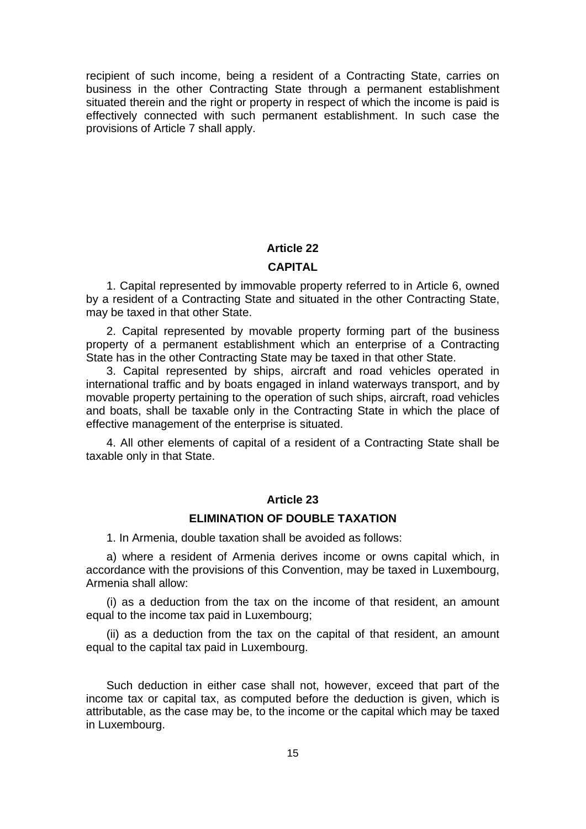recipient of such income, being a resident of a Contracting State, carries on business in the other Contracting State through a permanent establishment situated therein and the right or property in respect of which the income is paid is effectively connected with such permanent establishment. In such case the provisions of Article 7 shall apply.

# **Article 22 CAPITAL**

1. Capital represented by immovable property referred to in Article 6, owned by a resident of a Contracting State and situated in the other Contracting State, may be taxed in that other State.

2. Capital represented by movable property forming part of the business property of a permanent establishment which an enterprise of a Contracting State has in the other Contracting State may be taxed in that other State.

3. Capital represented by ships, aircraft and road vehicles operated in international traffic and by boats engaged in inland waterways transport, and by movable property pertaining to the operation of such ships, aircraft, road vehicles and boats, shall be taxable only in the Contracting State in which the place of effective management of the enterprise is situated.

4. All other elements of capital of a resident of a Contracting State shall be taxable only in that State.

# **Article 23**

# **ELIMINATION OF DOUBLE TAXATION**

1. In Armenia, double taxation shall be avoided as follows:

a) where a resident of Armenia derives income or owns capital which, in accordance with the provisions of this Convention, may be taxed in Luxembourg, Armenia shall allow:

(i) as a deduction from the tax on the income of that resident, an amount equal to the income tax paid in Luxembourg;

(ii) as a deduction from the tax on the capital of that resident, an amount equal to the capital tax paid in Luxembourg.

Such deduction in either case shall not, however, exceed that part of the income tax or capital tax, as computed before the deduction is given, which is attributable, as the case may be, to the income or the capital which may be taxed in Luxembourg.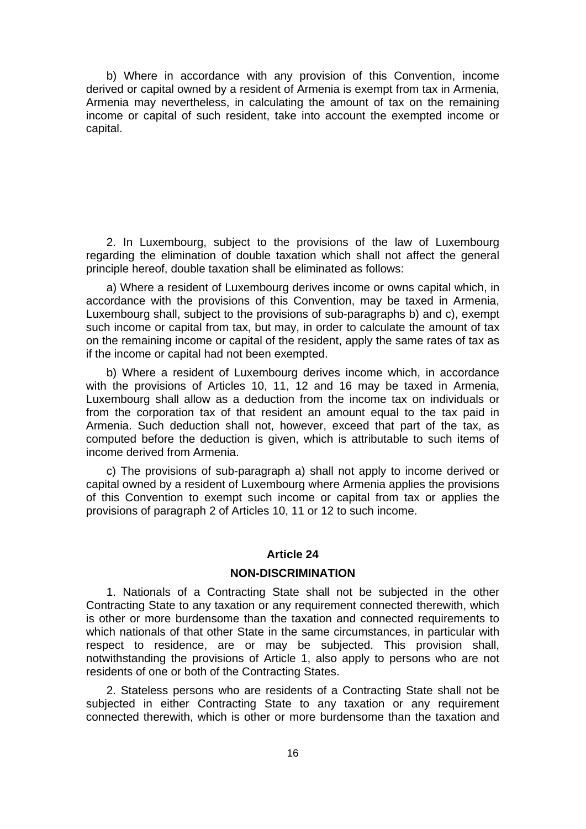b) Where in accordance with any provision of this Convention, income derived or capital owned by a resident of Armenia is exempt from tax in Armenia, Armenia may nevertheless, in calculating the amount of tax on the remaining income or capital of such resident, take into account the exempted income or capital.

2. In Luxembourg, subject to the provisions of the law of Luxembourg regarding the elimination of double taxation which shall not affect the general principle hereof, double taxation shall be eliminated as follows:

a) Where a resident of Luxembourg derives income or owns capital which, in accordance with the provisions of this Convention, may be taxed in Armenia, Luxembourg shall, subject to the provisions of sub-paragraphs b) and c), exempt such income or capital from tax, but may, in order to calculate the amount of tax on the remaining income or capital of the resident, apply the same rates of tax as if the income or capital had not been exempted.

b) Where a resident of Luxembourg derives income which, in accordance with the provisions of Articles 10, 11, 12 and 16 may be taxed in Armenia, Luxembourg shall allow as a deduction from the income tax on individuals or from the corporation tax of that resident an amount equal to the tax paid in Armenia. Such deduction shall not, however, exceed that part of the tax, as computed before the deduction is given, which is attributable to such items of income derived from Armenia.

c) The provisions of sub-paragraph a) shall not apply to income derived or capital owned by a resident of Luxembourg where Armenia applies the provisions of this Convention to exempt such income or capital from tax or applies the provisions of paragraph 2 of Articles 10, 11 or 12 to such income.

## **Article 24**

#### **NON-DISCRIMINATION**

1. Nationals of a Contracting State shall not be subjected in the other Contracting State to any taxation or any requirement connected therewith, which is other or more burdensome than the taxation and connected requirements to which nationals of that other State in the same circumstances, in particular with respect to residence, are or may be subjected. This provision shall, notwithstanding the provisions of Article 1, also apply to persons who are not residents of one or both of the Contracting States.

2. Stateless persons who are residents of a Contracting State shall not be subjected in either Contracting State to any taxation or any requirement connected therewith, which is other or more burdensome than the taxation and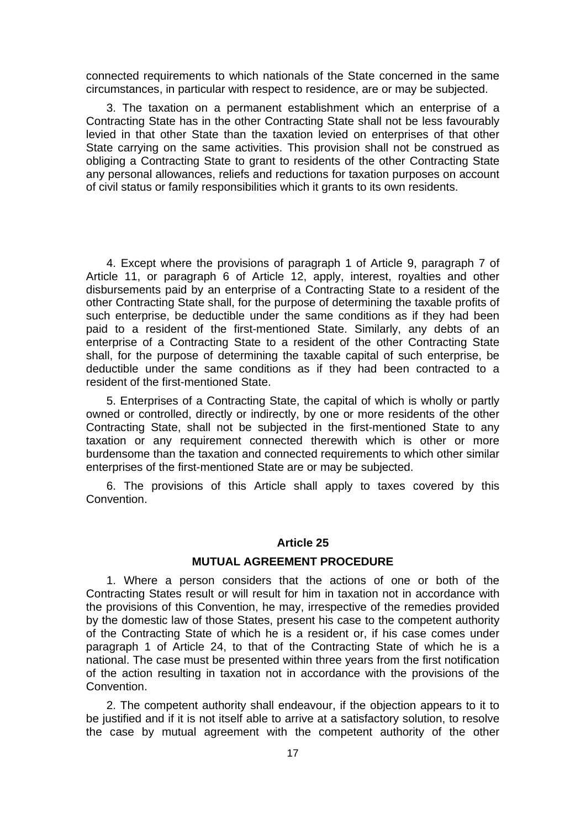connected requirements to which nationals of the State concerned in the same circumstances, in particular with respect to residence, are or may be subjected.

3. The taxation on a permanent establishment which an enterprise of a Contracting State has in the other Contracting State shall not be less favourably levied in that other State than the taxation levied on enterprises of that other State carrying on the same activities. This provision shall not be construed as obliging a Contracting State to grant to residents of the other Contracting State any personal allowances, reliefs and reductions for taxation purposes on account of civil status or family responsibilities which it grants to its own residents.

4. Except where the provisions of paragraph 1 of Article 9, paragraph 7 of Article 11, or paragraph 6 of Article 12, apply, interest, royalties and other disbursements paid by an enterprise of a Contracting State to a resident of the other Contracting State shall, for the purpose of determining the taxable profits of such enterprise, be deductible under the same conditions as if they had been paid to a resident of the first-mentioned State. Similarly, any debts of an enterprise of a Contracting State to a resident of the other Contracting State shall, for the purpose of determining the taxable capital of such enterprise, be deductible under the same conditions as if they had been contracted to a resident of the first-mentioned State.

5. Enterprises of a Contracting State, the capital of which is wholly or partly owned or controlled, directly or indirectly, by one or more residents of the other Contracting State, shall not be subjected in the first-mentioned State to any taxation or any requirement connected therewith which is other or more burdensome than the taxation and connected requirements to which other similar enterprises of the first-mentioned State are or may be subjected.

6. The provisions of this Article shall apply to taxes covered by this Convention.

#### **Article 25**

#### **MUTUAL AGREEMENT PROCEDURE**

1. Where a person considers that the actions of one or both of the Contracting States result or will result for him in taxation not in accordance with the provisions of this Convention, he may, irrespective of the remedies provided by the domestic law of those States, present his case to the competent authority of the Contracting State of which he is a resident or, if his case comes under paragraph 1 of Article 24, to that of the Contracting State of which he is a national. The case must be presented within three years from the first notification of the action resulting in taxation not in accordance with the provisions of the Convention.

2. The competent authority shall endeavour, if the objection appears to it to be justified and if it is not itself able to arrive at a satisfactory solution, to resolve the case by mutual agreement with the competent authority of the other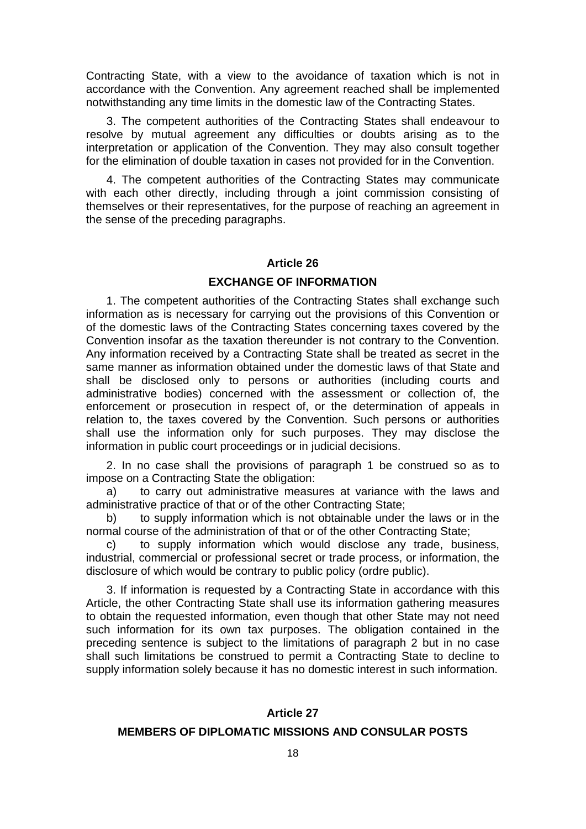Contracting State, with a view to the avoidance of taxation which is not in accordance with the Convention. Any agreement reached shall be implemented notwithstanding any time limits in the domestic law of the Contracting States.

3. The competent authorities of the Contracting States shall endeavour to resolve by mutual agreement any difficulties or doubts arising as to the interpretation or application of the Convention. They may also consult together for the elimination of double taxation in cases not provided for in the Convention.

4. The competent authorities of the Contracting States may communicate with each other directly, including through a joint commission consisting of themselves or their representatives, for the purpose of reaching an agreement in the sense of the preceding paragraphs.

#### **Article 26**

# **EXCHANGE OF INFORMATION**

1. The competent authorities of the Contracting States shall exchange such information as is necessary for carrying out the provisions of this Convention or of the domestic laws of the Contracting States concerning taxes covered by the Convention insofar as the taxation thereunder is not contrary to the Convention. Any information received by a Contracting State shall be treated as secret in the same manner as information obtained under the domestic laws of that State and shall be disclosed only to persons or authorities (including courts and administrative bodies) concerned with the assessment or collection of, the enforcement or prosecution in respect of, or the determination of appeals in relation to, the taxes covered by the Convention. Such persons or authorities shall use the information only for such purposes. They may disclose the information in public court proceedings or in judicial decisions.

2. In no case shall the provisions of paragraph 1 be construed so as to impose on a Contracting State the obligation:

a) to carry out administrative measures at variance with the laws and administrative practice of that or of the other Contracting State;

b) to supply information which is not obtainable under the laws or in the normal course of the administration of that or of the other Contracting State;

c) to supply information which would disclose any trade, business, industrial, commercial or professional secret or trade process, or information, the disclosure of which would be contrary to public policy (ordre public).

3. If information is requested by a Contracting State in accordance with this Article, the other Contracting State shall use its information gathering measures to obtain the requested information, even though that other State may not need such information for its own tax purposes. The obligation contained in the preceding sentence is subject to the limitations of paragraph 2 but in no case shall such limitations be construed to permit a Contracting State to decline to supply information solely because it has no domestic interest in such information.

# **Article 27**

# **MEMBERS OF DIPLOMATIC MISSIONS AND CONSULAR POSTS**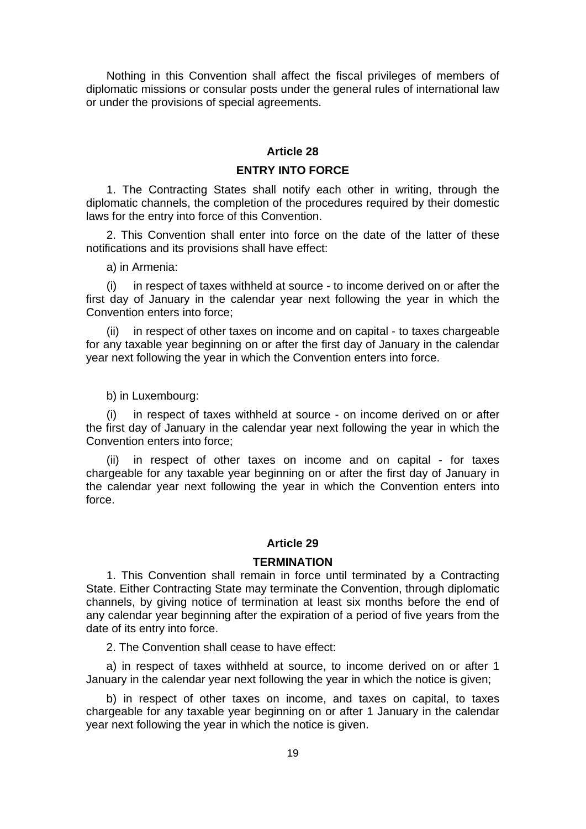Nothing in this Convention shall affect the fiscal privileges of members of diplomatic missions or consular posts under the general rules of international law or under the provisions of special agreements.

# **Article 28**

# **ENTRY INTO FORCE**

1. The Contracting States shall notify each other in writing, through the diplomatic channels, the completion of the procedures required by their domestic laws for the entry into force of this Convention.

2. This Convention shall enter into force on the date of the latter of these notifications and its provisions shall have effect:

a) in Armenia:

(i) in respect of taxes withheld at source - to income derived on or after the first day of January in the calendar year next following the year in which the Convention enters into force;

in respect of other taxes on income and on capital - to taxes chargeable for any taxable year beginning on or after the first day of January in the calendar year next following the year in which the Convention enters into force.

b) in Luxembourg:

in respect of taxes withheld at source - on income derived on or after the first day of January in the calendar year next following the year in which the Convention enters into force;

in respect of other taxes on income and on capital - for taxes chargeable for any taxable year beginning on or after the first day of January in the calendar year next following the year in which the Convention enters into force.

# **Article 29**

#### **TERMINATION**

1. This Convention shall remain in force until terminated by a Contracting State. Either Contracting State may terminate the Convention, through diplomatic channels, by giving notice of termination at least six months before the end of any calendar year beginning after the expiration of a period of five years from the date of its entry into force.

2. The Convention shall cease to have effect:

a) in respect of taxes withheld at source, to income derived on or after 1 January in the calendar year next following the year in which the notice is given;

b) in respect of other taxes on income, and taxes on capital, to taxes chargeable for any taxable year beginning on or after 1 January in the calendar year next following the year in which the notice is given.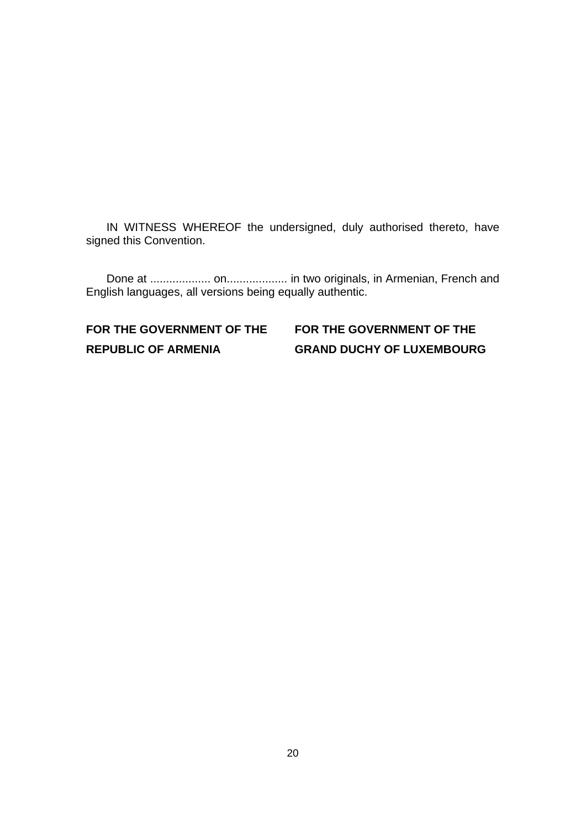IN WITNESS WHEREOF the undersigned, duly authorised thereto, have signed this Convention.

Done at ................... on................... in two originals, in Armenian, French and English languages, all versions being equally authentic.

#### **FOR THE GOVERNMENT OF THE REPUBLIC OF ARMENIA FOR THE GOVERNMENT OF THE GRAND DUCHY OF LUXEMBOURG**